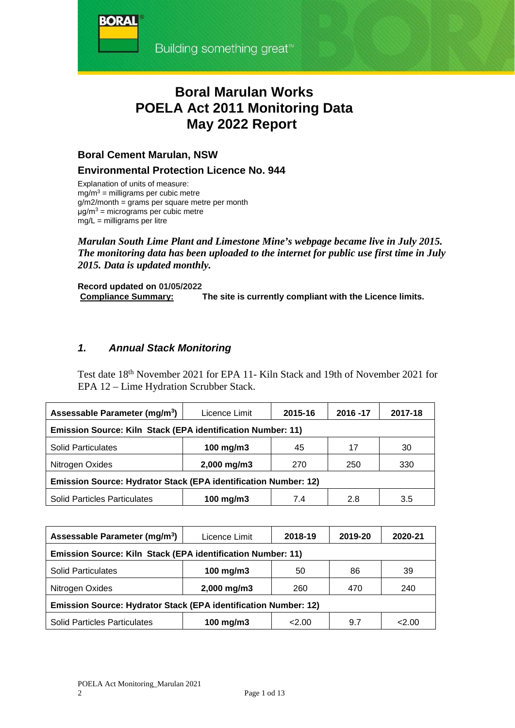## **Boral Marulan Works POELA Act 2011 Monitoring Data May 2022 Report**

## **Boral Cement Marulan, NSW**

**BORA** 

## **Environmental Protection Licence No. 944**

Explanation of units of measure:  $mg/m<sup>3</sup>$  = milligrams per cubic metre g/m2/month = grams per square metre per month μg/m<sup>3</sup> = micrograms per cubic metre  $mg/L =$  milligrams per litre

### *Marulan South Lime Plant and Limestone Mine's webpage became live in July 2015. The monitoring data has been uploaded to the internet for public use first time in July 2015. Data is updated monthly.*

**Record updated on 01/05/2022 Compliance Summary: The site is currently compliant with the Licence limits.** 

## *1. Annual Stack Monitoring*

Test date 18th November 2021 for EPA 11- Kiln Stack and 19th of November 2021 for EPA 12 – Lime Hydration Scrubber Stack.

| Assessable Parameter (mg/m <sup>3</sup> )                       | Licence Limit | 2015-16 | 2016 - 17 | 2017-18 |  |  |  |  |  |
|-----------------------------------------------------------------|---------------|---------|-----------|---------|--|--|--|--|--|
| Emission Source: Kiln Stack (EPA identification Number: 11)     |               |         |           |         |  |  |  |  |  |
| <b>Solid Particulates</b>                                       | 100 mg/m3     | 45      | 17        | 30      |  |  |  |  |  |
| Nitrogen Oxides                                                 | 2,000 mg/m3   | 270     | 250       | 330     |  |  |  |  |  |
| Emission Source: Hydrator Stack (EPA identification Number: 12) |               |         |           |         |  |  |  |  |  |
| <b>Solid Particles Particulates</b>                             | 100 mg/m3     | 7.4     | 2.8       | 3.5     |  |  |  |  |  |

| Assessable Parameter (mg/m <sup>3</sup> )                       | Licence Limit | 2018-19 | 2019-20 | 2020-21 |  |  |  |  |  |
|-----------------------------------------------------------------|---------------|---------|---------|---------|--|--|--|--|--|
| Emission Source: Kiln Stack (EPA identification Number: 11)     |               |         |         |         |  |  |  |  |  |
| <b>Solid Particulates</b>                                       | 100 mg/m $3$  | 50      | 86      | 39      |  |  |  |  |  |
| Nitrogen Oxides                                                 | 2,000 mg/m3   | 260     | 470     | 240     |  |  |  |  |  |
| Emission Source: Hydrator Stack (EPA identification Number: 12) |               |         |         |         |  |  |  |  |  |
| <b>Solid Particles Particulates</b>                             | 100 mg/m $3$  | < 2.00  | 9.7     | 2.00    |  |  |  |  |  |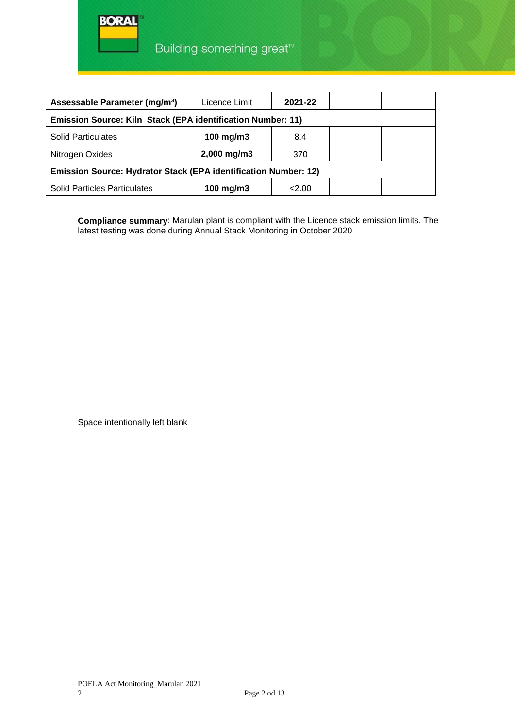

| Assessable Parameter (mg/m <sup>3</sup> )                       | Licence Limit | 2021-22 |  |  |  |  |  |  |
|-----------------------------------------------------------------|---------------|---------|--|--|--|--|--|--|
| Emission Source: Kiln Stack (EPA identification Number: 11)     |               |         |  |  |  |  |  |  |
| <b>Solid Particulates</b>                                       | 100 mg/m $3$  | 8.4     |  |  |  |  |  |  |
| Nitrogen Oxides                                                 | 2,000 mg/m3   | 370     |  |  |  |  |  |  |
| Emission Source: Hydrator Stack (EPA identification Number: 12) |               |         |  |  |  |  |  |  |
| <b>Solid Particles Particulates</b>                             | 100 mg/m $3$  | 2.00    |  |  |  |  |  |  |

**Compliance summary**: Marulan plant is compliant with the Licence stack emission limits. The latest testing was done during Annual Stack Monitoring in October 2020

Space intentionally left blank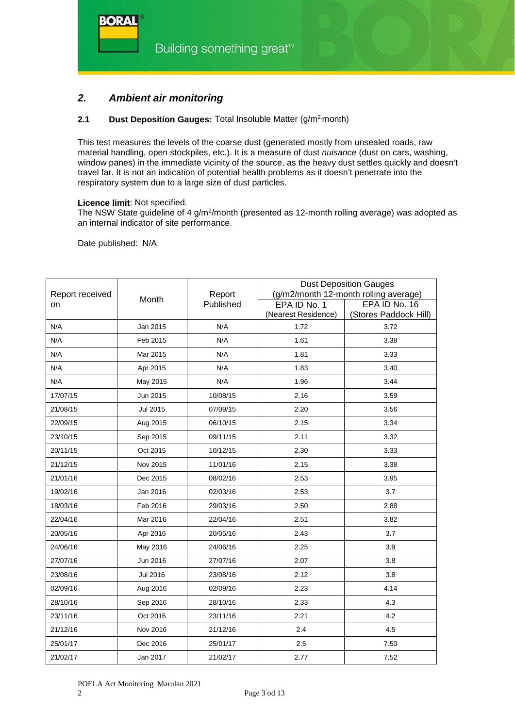

## *2. Ambient air monitoring*

#### **2.1 Dust Deposition Gauges:** Total Insoluble Matter (g/m<sup>2</sup>month)

This test measures the levels of the coarse dust (generated mostly from unsealed roads, raw material handling, open stockpiles, etc.). It is a measure of dust *nuisance* (dust on cars, washing, window panes) in the immediate vicinity of the source, as the heavy dust settles quickly and doesn't travel far. It is not an indication of potential health problems as it doesn't penetrate into the respiratory system due to a large size of dust particles.

#### **Licence limit**: Not specified.

The NSW State guideline of 4 g/m<sup>2</sup>/month (presented as 12-month rolling average) was adopted as an internal indicator of site performance.

Date published: N/A

**BORA** 

|                 |                 |           | <b>Dust Deposition Gauges</b> |                                       |  |  |
|-----------------|-----------------|-----------|-------------------------------|---------------------------------------|--|--|
| Report received | Month           | Report    |                               | (g/m2/month 12-month rolling average) |  |  |
| on              |                 | Published | EPA ID No. 1                  | EPA ID No. 16                         |  |  |
|                 |                 |           | (Nearest Residence)           | (Stores Paddock Hill)                 |  |  |
| N/A             | Jan 2015        | N/A       | 1.72                          | 3.72                                  |  |  |
| N/A             | Feb 2015        | N/A       | 1.61                          | 3.38                                  |  |  |
| N/A             | Mar 2015        | N/A       | 1.81                          | 3.33                                  |  |  |
| N/A             | Apr 2015        | N/A       | 1.83                          | 3.40                                  |  |  |
| N/A             | May 2015        | N/A       | 1.96                          | 3.44                                  |  |  |
| 17/07/15        | Jun 2015        | 10/08/15  | 2.16                          | 3.59                                  |  |  |
| 21/08/15        | <b>Jul 2015</b> | 07/09/15  | 2.20                          | 3.56                                  |  |  |
| 22/09/15        | Aug 2015        | 06/10/15  | 2.15                          | 3.34                                  |  |  |
| 23/10/15        | Sep 2015        | 09/11/15  | 2.11                          | 3.32                                  |  |  |
| 20/11/15        | Oct 2015        | 10/12/15  | 2.30                          | 3.33                                  |  |  |
| 21/12/15        | Nov 2015        | 11/01/16  | 2.15                          | 3.38                                  |  |  |
| 21/01/16        | Dec 2015        | 08/02/16  | 2.53                          | 3.95                                  |  |  |
| 19/02/16        | Jan 2016        | 02/03/16  | 2.53                          | 3.7                                   |  |  |
| 18/03/16        | Feb 2016        | 29/03/16  | 2.50                          | 2.88                                  |  |  |
| 22/04/16        | Mar 2016        | 22/04/16  | 2.51                          | 3.82                                  |  |  |
| 20/05/16        | Apr 2016        | 20/05/16  | 2.43                          | 3.7                                   |  |  |
| 24/06/16        | May 2016        | 24/06/16  | 2.25                          | 3.9                                   |  |  |
| 27/07/16        | Jun 2016        | 27/07/16  | 2.07                          | 3.8                                   |  |  |
| 23/08/16        | <b>Jul 2016</b> | 23/08/16  | 2.12                          | 3.8                                   |  |  |
| 02/09/16        | Aug 2016        | 02/09/16  | 2.23                          | 4.14                                  |  |  |
| 28/10/16        | Sep 2016        | 28/10/16  | 2.33                          | 4.3                                   |  |  |
| 23/11/16        | Oct 2016        | 23/11/16  | 2.21                          | 4.2                                   |  |  |
| 21/12/16        | Nov 2016        | 21/12/16  | 2.4                           | 4.5                                   |  |  |
| 25/01/17        | Dec 2016        | 25/01/17  | 2.5                           | 7.50                                  |  |  |
| 21/02/17        | Jan 2017        | 21/02/17  | 2.77                          | 7.52                                  |  |  |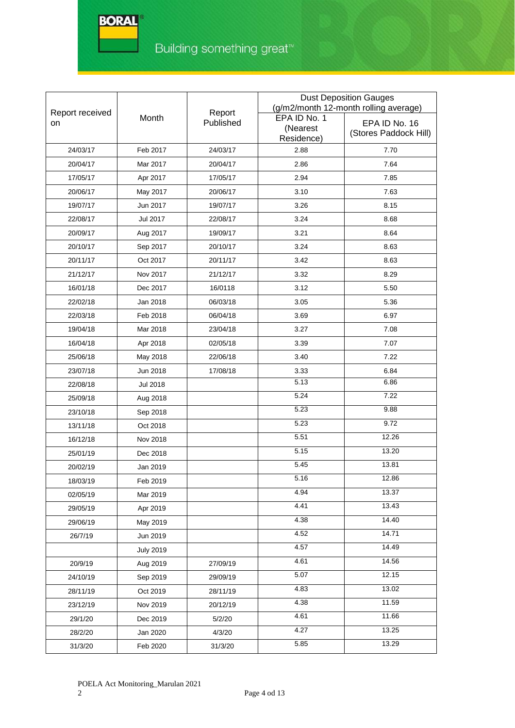®

|                 |                  |           | <b>Dust Deposition Gauges</b> |                                       |  |  |
|-----------------|------------------|-----------|-------------------------------|---------------------------------------|--|--|
| Report received |                  | Report    |                               | (g/m2/month 12-month rolling average) |  |  |
| on              | Month            | Published | EPA ID No. 1<br>(Nearest      | EPA ID No. 16                         |  |  |
|                 |                  |           | Residence)                    | (Stores Paddock Hill)                 |  |  |
| 24/03/17        | Feb 2017         | 24/03/17  | 2.88                          | 7.70                                  |  |  |
| 20/04/17        | Mar 2017         | 20/04/17  | 2.86                          | 7.64                                  |  |  |
| 17/05/17        | Apr 2017         | 17/05/17  | 2.94                          | 7.85                                  |  |  |
| 20/06/17        | May 2017         | 20/06/17  | 3.10                          | 7.63                                  |  |  |
| 19/07/17        | Jun 2017         | 19/07/17  | 3.26                          | 8.15                                  |  |  |
| 22/08/17        | <b>Jul 2017</b>  | 22/08/17  | 3.24                          | 8.68                                  |  |  |
| 20/09/17        | Aug 2017         | 19/09/17  | 3.21                          | 8.64                                  |  |  |
| 20/10/17        | Sep 2017         | 20/10/17  | 3.24                          | 8.63                                  |  |  |
| 20/11/17        | Oct 2017         | 20/11/17  | 3.42                          | 8.63                                  |  |  |
| 21/12/17        | Nov 2017         | 21/12/17  | 3.32                          | 8.29                                  |  |  |
| 16/01/18        | Dec 2017         | 16/0118   | 3.12                          | 5.50                                  |  |  |
| 22/02/18        | Jan 2018         | 06/03/18  | 3.05                          | 5.36                                  |  |  |
| 22/03/18        | Feb 2018         | 06/04/18  | 3.69                          | 6.97                                  |  |  |
| 19/04/18        | Mar 2018         | 23/04/18  | 3.27                          | 7.08                                  |  |  |
| 16/04/18        | Apr 2018         | 02/05/18  | 3.39                          | 7.07                                  |  |  |
| 25/06/18        | May 2018         | 22/06/18  | 3.40                          | 7.22                                  |  |  |
| 23/07/18        | Jun 2018         | 17/08/18  | 3.33                          | 6.84                                  |  |  |
| 22/08/18        | <b>Jul 2018</b>  |           | 5.13                          | 6.86                                  |  |  |
| 25/09/18        | Aug 2018         |           | 5.24                          | 7.22                                  |  |  |
| 23/10/18        | Sep 2018         |           | 5.23                          | 9.88                                  |  |  |
| 13/11/18        | Oct 2018         |           | 5.23                          | 9.72                                  |  |  |
| 16/12/18        | Nov 2018         |           | 5.51                          | 12.26                                 |  |  |
| 25/01/19        | Dec 2018         |           | 5.15                          | 13.20                                 |  |  |
| 20/02/19        | Jan 2019         |           | $\overline{5.45}$             | 13.81                                 |  |  |
| 18/03/19        | Feb 2019         |           | 5.16                          | 12.86                                 |  |  |
| 02/05/19        | Mar 2019         |           | 4.94                          | 13.37                                 |  |  |
| 29/05/19        | Apr 2019         |           | 4.41                          | 13.43                                 |  |  |
| 29/06/19        | May 2019         |           | 4.38                          | 14.40                                 |  |  |
| 26/7/19         | Jun 2019         |           | 4.52                          | 14.71                                 |  |  |
|                 | <b>July 2019</b> |           | 4.57                          | 14.49                                 |  |  |
| 20/9/19         | Aug 2019         | 27/09/19  | 4.61                          | 14.56                                 |  |  |
| 24/10/19        | Sep 2019         | 29/09/19  | 5.07                          | 12.15                                 |  |  |
| 28/11/19        | Oct 2019         | 28/11/19  | 4.83                          | 13.02                                 |  |  |
| 23/12/19        | Nov 2019         | 20/12/19  | 4.38                          | 11.59                                 |  |  |
| 29/1/20         | Dec 2019         | 5/2/20    | 4.61                          | 11.66                                 |  |  |
| 28/2/20         | Jan 2020         | 4/3/20    | 4.27                          | 13.25                                 |  |  |
| 31/3/20         | Feb 2020         | 31/3/20   | 5.85                          | 13.29                                 |  |  |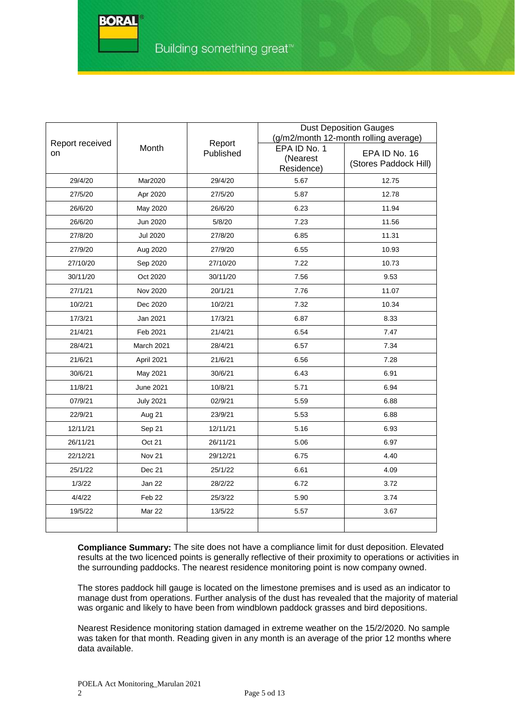|                       |                   |                     |                                        | <b>Dust Deposition Gauges</b><br>(g/m2/month 12-month rolling average) |
|-----------------------|-------------------|---------------------|----------------------------------------|------------------------------------------------------------------------|
| Report received<br>on | Month             | Report<br>Published | EPA ID No. 1<br>(Nearest<br>Residence) | EPA ID No. 16<br>(Stores Paddock Hill)                                 |
| 29/4/20               | Mar2020           | 29/4/20             | 5.67                                   | 12.75                                                                  |
| 27/5/20               | Apr 2020          | 27/5/20             | 5.87                                   | 12.78                                                                  |
| 26/6/20               | May 2020          | 26/6/20             | 6.23                                   | 11.94                                                                  |
| 26/6/20               | Jun 2020          | 5/8/20              | 7.23                                   | 11.56                                                                  |
| 27/8/20               | Jul 2020          | 27/8/20             | 6.85                                   | 11.31                                                                  |
| 27/9/20               | Aug 2020          | 27/9/20             | 6.55                                   | 10.93                                                                  |
| 27/10/20              | Sep 2020          | 27/10/20            | 7.22                                   | 10.73                                                                  |
| 30/11/20              | Oct 2020          | 30/11/20            | 7.56                                   | 9.53                                                                   |
| 27/1/21               | Nov 2020          | 20/1/21             | 7.76                                   | 11.07                                                                  |
| 10/2/21               | Dec 2020          |                     | 7.32                                   | 10.34                                                                  |
| 17/3/21               | Jan 2021          | 17/3/21             | 6.87                                   | 8.33                                                                   |
| 21/4/21               | Feb 2021          | 21/4/21             | 6.54                                   | 7.47                                                                   |
| 28/4/21               | March 2021        | 28/4/21             | 6.57                                   | 7.34                                                                   |
| 21/6/21               | April 2021        | 21/6/21             | 6.56                                   | 7.28                                                                   |
| 30/6/21               | May 2021          | 30/6/21             | 6.43                                   | 6.91                                                                   |
| 11/8/21               | June 2021         | 10/8/21             | 5.71                                   | 6.94                                                                   |
| 07/9/21               | <b>July 2021</b>  | 02/9/21             | 5.59                                   | 6.88                                                                   |
| 22/9/21               | Aug 21            | 23/9/21             | 5.53                                   | 6.88                                                                   |
| 12/11/21              | Sep 21            | 12/11/21            | 5.16                                   | 6.93                                                                   |
| 26/11/21              | Oct 21            | 26/11/21            | 5.06                                   | 6.97                                                                   |
| 22/12/21              | Nov <sub>21</sub> | 29/12/21            | 6.75                                   | 4.40                                                                   |
| 25/1/22               | Dec 21            | 25/1/22             | 6.61                                   | 4.09                                                                   |
| 1/3/22                | Jan 22            | 28/2/22             | 6.72                                   | 3.72                                                                   |
| 4/4/22                | Feb 22            | 25/3/22             | 5.90                                   | 3.74                                                                   |
| 19/5/22               | Mar 22            | 13/5/22             | 5.57                                   | 3.67                                                                   |
|                       |                   |                     |                                        |                                                                        |

**Compliance Summary:** The site does not have a compliance limit for dust deposition. Elevated results at the two licenced points is generally reflective of their proximity to operations or activities in the surrounding paddocks. The nearest residence monitoring point is now company owned.

The stores paddock hill gauge is located on the limestone premises and is used as an indicator to manage dust from operations. Further analysis of the dust has revealed that the majority of material was organic and likely to have been from windblown paddock grasses and bird depositions.

Nearest Residence monitoring station damaged in extreme weather on the 15/2/2020. No sample was taken for that month. Reading given in any month is an average of the prior 12 months where data available.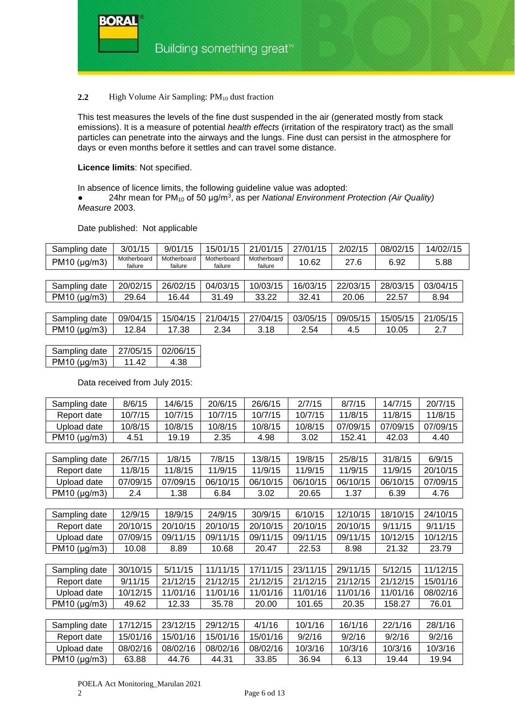#### **2.2** High Volume Air Sampling: PM<sub>10</sub> dust fraction

This test measures the levels of the fine dust suspended in the air (generated mostly from stack emissions). It is a measure of potential *health effects* (irritation of the respiratory tract) as the small particles can penetrate into the airways and the lungs. Fine dust can persist in the atmosphere for days or even months before it settles and can travel some distance.

#### **Licence limits**: Not specified.

RAD A

In absence of licence limits, the following guideline value was adopted: ● 24hr mean for PM10 of 50 μg/m3, as per *National Environment Protection (Air Quality) Measure* 2003.

#### Date published: Not applicable

| Sampling date        | 3/01/15                | 9/01/15                | 15/01/15               | 21/01/15               | 27/01/15 | 2/02/15  | 08/02/15 | 14/02//15 |
|----------------------|------------------------|------------------------|------------------------|------------------------|----------|----------|----------|-----------|
| $PM10$ (µg/m3)       | Motherboard<br>failure | Motherboard<br>failure | Motherboard<br>failure | Motherboard<br>failure | 10.62    | 27.6     | 6.92     | 5.88      |
|                      |                        |                        |                        |                        |          |          |          |           |
| Sampling date        | 20/02/15               | 26/02/15               | 04/03/15               | 10/03/15               | 16/03/15 | 22/03/15 | 28/03/15 | 03/04/15  |
| $PM10$ ( $\mu$ g/m3) | 29.64                  | 16.44                  | 31.49                  | 33.22                  | 32.41    | 20.06    | 22.57    | 8.94      |
|                      |                        |                        |                        |                        |          |          |          |           |
| Sampling date        | 09/04/15               | 15/04/15               | 21/04/15               | 27/04/15               | 03/05/15 | 09/05/15 | 15/05/15 | 21/05/15  |
| PM10 ( $\mu$ g/m3)   | 12.84                  | 17.38                  | 2.34                   | 3.18                   | 2.54     | 4.5      | 10.05    | 2.7       |

| Sampling date        |       | 27/05/15   02/06/15 |
|----------------------|-------|---------------------|
| $PM10$ ( $\mu$ g/m3) | 11 42 | 4 38                |

#### Data received from July 2015:

| Sampling date | 8/6/15   | 14/6/15  | 20/6/15  | 26/6/15  | 2/7/15   | 8/7/15   | 14/7/15  | 20/7/15  |
|---------------|----------|----------|----------|----------|----------|----------|----------|----------|
| Report date   | 10/7/15  | 10/7/15  | 10/7/15  | 10/7/15  | 10/7/15  | 11/8/15  | 11/8/15  | 11/8/15  |
| Upload date   | 10/8/15  | 10/8/15  | 10/8/15  | 10/8/15  | 10/8/15  | 07/09/15 | 07/09/15 | 07/09/15 |
| PM10 (µg/m3)  | 4.51     | 19.19    | 2.35     | 4.98     | 3.02     | 152.41   | 42.03    | 4.40     |
|               |          |          |          |          |          |          |          |          |
| Sampling date | 26/7/15  | 1/8/15   | 7/8/15   | 13/8/15  | 19/8/15  | 25/8/15  | 31/8/15  | 6/9/15   |
| Report date   | 11/8/15  | 11/8/15  | 11/9/15  | 11/9/15  | 11/9/15  | 11/9/15  | 11/9/15  | 20/10/15 |
| Upload date   | 07/09/15 | 07/09/15 | 06/10/15 | 06/10/15 | 06/10/15 | 06/10/15 | 06/10/15 | 07/09/15 |
| PM10 (µg/m3)  | 2.4      | 1.38     | 6.84     | 3.02     | 20.65    | 1.37     | 6.39     | 4.76     |
|               |          |          |          |          |          |          |          |          |
| Sampling date | 12/9/15  | 18/9/15  | 24/9/15  | 30/9/15  | 6/10/15  | 12/10/15 | 18/10/15 | 24/10/15 |
| Report date   | 20/10/15 | 20/10/15 | 20/10/15 | 20/10/15 | 20/10/15 | 20/10/15 | 9/11/15  | 9/11/15  |
| Upload date   | 07/09/15 | 09/11/15 | 09/11/15 | 09/11/15 | 09/11/15 | 09/11/15 | 10/12/15 | 10/12/15 |
| PM10 (µg/m3)  | 10.08    | 8.89     | 10.68    | 20.47    | 22.53    | 8.98     | 21.32    | 23.79    |
|               |          |          |          |          |          |          |          |          |
| Sampling date | 30/10/15 | 5/11/15  | 11/11/15 | 17/11/15 | 23/11/15 | 29/11/15 | 5/12/15  | 11/12/15 |
| Report date   | 9/11/15  | 21/12/15 | 21/12/15 | 21/12/15 | 21/12/15 | 21/12/15 | 21/12/15 | 15/01/16 |
| Upload date   | 10/12/15 | 11/01/16 | 11/01/16 | 11/01/16 | 11/01/16 | 11/01/16 | 11/01/16 | 08/02/16 |
| PM10 (µg/m3)  | 49.62    | 12.33    | 35.78    | 20.00    | 101.65   | 20.35    | 158.27   | 76.01    |
|               |          |          |          |          |          |          |          |          |
| Sampling date | 17/12/15 | 23/12/15 | 29/12/15 | 4/1/16   | 10/1/16  | 16/1/16  | 22/1/16  | 28/1/16  |
| Report date   | 15/01/16 | 15/01/16 | 15/01/16 | 15/01/16 | 9/2/16   | 9/2/16   | 9/2/16   | 9/2/16   |
| Upload date   | 08/02/16 | 08/02/16 | 08/02/16 | 08/02/16 | 10/3/16  | 10/3/16  | 10/3/16  | 10/3/16  |
| PM10 (µg/m3)  | 63.88    | 44.76    | 44.31    | 33.85    | 36.94    | 6.13     | 19.44    | 19.94    |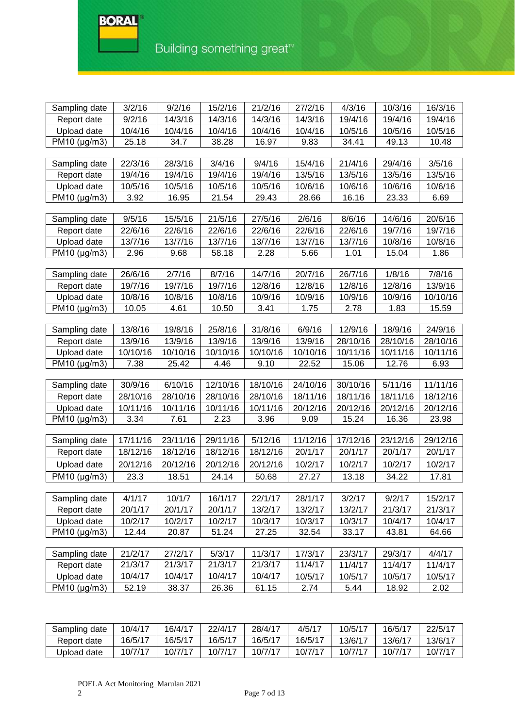**BORAL** 

E

| Sampling date     | 3/2/16   | 9/2/16   | 15/2/16  | 21/2/16  | 27/2/16  | 4/3/16   | 10/3/16  | 16/3/16  |
|-------------------|----------|----------|----------|----------|----------|----------|----------|----------|
| Report date       | 9/2/16   | 14/3/16  | 14/3/16  | 14/3/16  | 14/3/16  | 19/4/16  | 19/4/16  | 19/4/16  |
| Upload date       | 10/4/16  | 10/4/16  | 10/4/16  | 10/4/16  | 10/4/16  | 10/5/16  | 10/5/16  | 10/5/16  |
| PM10 (µg/m3)      | 25.18    | 34.7     | 38.28    | 16.97    | 9.83     | 34.41    | 49.13    | 10.48    |
|                   |          |          |          |          |          |          |          |          |
| Sampling date     | 22/3/16  | 28/3/16  | 3/4/16   | 9/4/16   | 15/4/16  | 21/4/16  | 29/4/16  | 3/5/16   |
| Report date       | 19/4/16  | 19/4/16  | 19/4/16  | 19/4/16  | 13/5/16  | 13/5/16  | 13/5/16  | 13/5/16  |
| Upload date       | 10/5/16  | 10/5/16  | 10/5/16  | 10/5/16  | 10/6/16  | 10/6/16  | 10/6/16  | 10/6/16  |
| PM10 (µg/m3)      | 3.92     | 16.95    | 21.54    | 29.43    | 28.66    | 16.16    | 23.33    | 6.69     |
|                   |          |          |          |          |          |          |          |          |
| Sampling date     | 9/5/16   | 15/5/16  | 21/5/16  | 27/5/16  | 2/6/16   | 8/6/16   | 14/6/16  | 20/6/16  |
| Report date       | 22/6/16  | 22/6/16  | 22/6/16  | 22/6/16  | 22/6/16  | 22/6/16  | 19/7/16  | 19/7/16  |
| Upload date       | 13/7/16  | 13/7/16  | 13/7/16  | 13/7/16  | 13/7/16  | 13/7/16  | 10/8/16  | 10/8/16  |
| PM10 (µg/m3)      | 2.96     | 9.68     | 58.18    | 2.28     | 5.66     | 1.01     | 15.04    | 1.86     |
| Sampling date     | 26/6/16  | 2/7/16   | 8/7/16   | 14/7/16  | 20/7/16  | 26/7/16  | 1/8/16   | 7/8/16   |
| Report date       | 19/7/16  | 19/7/16  | 19/7/16  | 12/8/16  | 12/8/16  | 12/8/16  | 12/8/16  | 13/9/16  |
| Upload date       | 10/8/16  | 10/8/16  | 10/8/16  | 10/9/16  | 10/9/16  | 10/9/16  | 10/9/16  | 10/10/16 |
| PM10 (µg/m3)      | 10.05    | 4.61     | 10.50    | 3.41     | 1.75     | 2.78     | 1.83     | 15.59    |
|                   |          |          |          |          |          |          |          |          |
| Sampling date     | 13/8/16  | 19/8/16  | 25/8/16  | 31/8/16  | 6/9/16   | 12/9/16  | 18/9/16  | 24/9/16  |
| Report date       | 13/9/16  | 13/9/16  | 13/9/16  | 13/9/16  | 13/9/16  | 28/10/16 | 28/10/16 | 28/10/16 |
| Upload date       | 10/10/16 | 10/10/16 | 10/10/16 | 10/10/16 | 10/10/16 | 10/11/16 | 10/11/16 | 10/11/16 |
| PM10 $(\mu g/m3)$ | 7.38     | 25.42    | 4.46     | 9.10     | 22.52    | 15.06    | 12.76    | 6.93     |
|                   |          |          |          |          |          |          |          |          |
| Sampling date     | 30/9/16  | 6/10/16  | 12/10/16 | 18/10/16 | 24/10/16 | 30/10/16 | 5/11/16  | 11/11/16 |
| Report date       | 28/10/16 | 28/10/16 | 28/10/16 | 28/10/16 | 18/11/16 | 18/11/16 | 18/11/16 | 18/12/16 |
| Upload date       | 10/11/16 | 10/11/16 | 10/11/16 | 10/11/16 | 20/12/16 | 20/12/16 | 20/12/16 | 20/12/16 |
| PM10 (µg/m3)      | 3.34     | 7.61     | 2.23     | 3.96     | 9.09     | 15.24    | 16.36    | 23.98    |
|                   |          |          |          |          |          |          |          |          |
| Sampling date     | 17/11/16 | 23/11/16 | 29/11/16 | 5/12/16  | 11/12/16 | 17/12/16 | 23/12/16 | 29/12/16 |
| Report date       | 18/12/16 | 18/12/16 | 18/12/16 | 18/12/16 | 20/1/17  | 20/1/17  | 20/1/17  | 20/1/17  |
| Upload date       | 20/12/16 | 20/12/16 | 20/12/16 | 20/12/16 | 10/2/17  | 10/2/17  | 10/2/17  | 10/2/17  |
| PM10 (µg/m3)      | 23.3     | 18.51    | 24.14    | 50.68    | 27.27    | 13.18    | 34.22    | 17.81    |
|                   |          |          |          |          |          |          |          |          |
| Sampling date     | 4/1/17   | 10/1/7   | 16/1/17  | 22/1/17  | 28/1/17  | 3/2/17   | 9/2/17   | 15/2/17  |
| Report date       | 20/1/17  | 20/1/17  | 20/1/17  | 13/2/17  | 13/2/17  | 13/2/17  | 21/3/17  | 21/3/17  |
| Upload date       | 10/2/17  | 10/2/17  | 10/2/17  | 10/3/17  | 10/3/17  | 10/3/17  | 10/4/17  | 10/4/17  |
| PM10 (µg/m3)      | 12.44    | 20.87    | 51.24    | 27.25    | 32.54    | 33.17    | 43.81    | 64.66    |
|                   |          |          |          |          |          |          |          |          |
| Sampling date     | 21/2/17  | 27/2/17  | 5/3/17   | 11/3/17  | 17/3/17  | 23/3/17  | 29/3/17  | 4/4/17   |
| Report date       | 21/3/17  | 21/3/17  | 21/3/17  | 21/3/17  | 11/4/17  | 11/4/17  | 11/4/17  | 11/4/17  |
| Upload date       | 10/4/17  | 10/4/17  | 10/4/17  | 10/4/17  | 10/5/17  | 10/5/17  | 10/5/17  | 10/5/17  |
| PM10 (µg/m3)      | 52.19    | 38.37    | 26.36    | 61.15    | 2.74     | 5.44     | 18.92    | 2.02     |
|                   |          |          |          |          |          |          |          |          |

| Sampling date | 10/4/17 | 16/4/17 | 22/4/17 | 28/4/17 | 4/5/17       | $10/5/1^-$ | 16/5/17 | 22/5/17 |
|---------------|---------|---------|---------|---------|--------------|------------|---------|---------|
| Report date   | 16/5/17 | 16/5/17 | 16/5/17 | 16/5/17 | 16/5/17      | 13/6/17    | 13/6/17 | 13/6/17 |
| Upload date   | 10/7/17 | 10/7/17 | 10/7/17 | 10/7/17 | $10/7/1^{-}$ | 10/7/17    | 10/7/1  | 10/7/17 |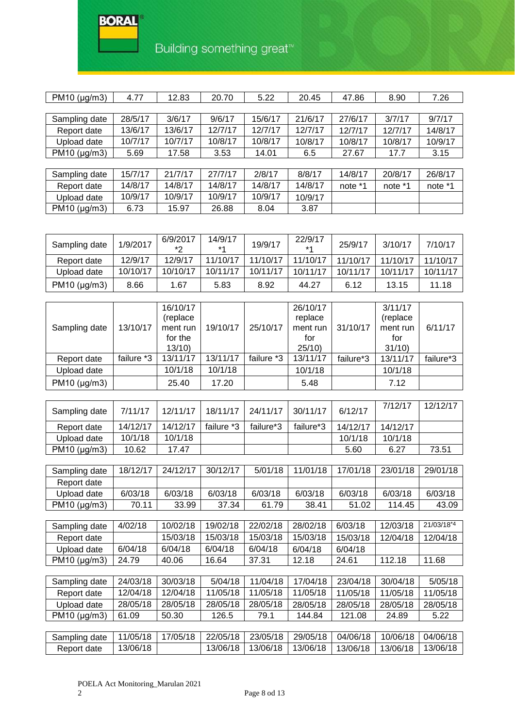## **BORAL**

G

# Building something great<sup>™</sup>

| $PM10$ (µg/m3)       | 4.77    | 12.83   | 20.70   | 5.22    | 20.45   | 47.86   | 8.90    | 7.26    |
|----------------------|---------|---------|---------|---------|---------|---------|---------|---------|
|                      |         |         |         |         |         |         |         |         |
| Sampling date        | 28/5/17 | 3/6/17  | 9/6/17  | 15/6/17 | 21/6/17 | 27/6/17 | 3/7/17  | 9/7/17  |
| Report date          | 13/6/17 | 13/6/17 | 12/7/17 | 12/7/17 | 12/7/17 | 12/7/17 | 12/7/17 | 14/8/17 |
| Upload date          | 10/7/17 | 10/7/17 | 10/8/17 | 10/8/17 | 10/8/17 | 10/8/17 | 10/8/17 | 10/9/17 |
| $PM10$ ( $\mu$ g/m3) | 5.69    | 17.58   | 3.53    | 14.01   | 6.5     | 27.67   | 17.7    | 3.15    |
|                      |         |         |         |         |         |         |         |         |
| Sampling date        | 15/7/17 | 21/7/17 | 27/7/17 | 2/8/17  | 8/8/17  | 14/8/17 | 20/8/17 | 26/8/17 |
| Report date          | 14/8/17 | 14/8/17 | 14/8/17 | 14/8/17 | 14/8/17 | note *1 | note *1 | note *1 |
| Upload date          | 10/9/17 | 10/9/17 | 10/9/17 | 10/9/17 | 10/9/17 |         |         |         |
| $PM10$ (µg/m3)       | 6.73    | 15.97   | 26.88   | 8.04    | 3.87    |         |         |         |
|                      |         |         |         |         |         |         |         |         |

| Sampling date      | 1/9/2017 | 6/9/2017<br>*? | 14/9/17<br>$*$ 4 | 19/9/17  | 22/9/17<br>$*1$ | 25/9/17  | 3/10/17  | 7/10/17  |
|--------------------|----------|----------------|------------------|----------|-----------------|----------|----------|----------|
| Report date        | 12/9/17  | 12/9/17        | 11/10/17         | 11/10/17 | 11/10/17        | 11/10/17 | 11/10/17 | 11/10/17 |
| Upload date        | 10/10/17 | 10/10/17       | 10/11/17         | 10/11/17 | 10/11/17        | 10/11/17 | 10/11/17 | 10/11/17 |
| PM10 ( $\mu$ g/m3) | 8.66     | ∣.67           | 5.83             | 8.92     | 44.27           | 6.12     | 13.15    | 11.18    |

|                |            | 16/10/17  |          |            | 26/10/17 |           | 3/11/17   |           |
|----------------|------------|-----------|----------|------------|----------|-----------|-----------|-----------|
|                |            | (replace) |          |            | replace  |           | (replace) |           |
| Sampling date  | 13/10/17   | ment run  | 19/10/17 | 25/10/17   | ment run | 31/10/17  | ment run  | 6/11/17   |
|                |            | for the   |          |            | for      |           | for       |           |
|                |            | 13/10     |          |            | 25/10    |           | 31/10     |           |
| Report date    | failure *3 | 13/11/17  | 13/11/17 | failure *3 | 13/11/17 | failure*3 | 13/11/17  | failure*3 |
| Upload date    |            | 10/1/18   | 10/1/18  |            | 10/1/18  |           | 10/1/18   |           |
| $PM10$ (µg/m3) |            | 25.40     | 17.20    |            | 5.48     |           | 7.12      |           |

| Sampling date        | 7/11/17  | 12/11/17 | 18/11/17   | 24/11/17  | 30/11/17  | 6/12/17  | 7/12/17  | 12/12/17 |
|----------------------|----------|----------|------------|-----------|-----------|----------|----------|----------|
| Report date          | 14/12/17 | 14/12/17 | failure *3 | failure*3 | failure*3 | 14/12/17 | 14/12/17 |          |
| Upload date          | 10/1/18  | 10/1/18  |            |           |           | 10/1/18  | 10/1/18  |          |
| $PM10$ ( $\mu$ g/m3) | 10.62    | 17.47    |            |           |           | 5.60     | 6.27     | 73.51    |

| Sampling date        | 18/12/17 | 24/12/17 | 30/12/17 | 5/01/18 | 11/01/18 | 17/01/18 | 23/01/18 | 29/01/18 |
|----------------------|----------|----------|----------|---------|----------|----------|----------|----------|
| Report date          |          |          |          |         |          |          |          |          |
| Upload date          | 6/03/18  | 6/03/18  | 6/03/18  | 6/03/18 | 6/03/18  | 6/03/18  | 6/03/18  | 6/03/18  |
| $PM10$ ( $\mu$ g/m3) | 70.11    | 33.99    | 37.34    | 61.79   | 38.41    | 51.02    | 114.45   | 43.09    |

| Sampling date        | 4/02/18 | 10/02/18 | 19/02/18 | 22/02/18 | 28/02/18 | 6/03/18  | 12/03/18 | 21/03/18 <sup>*4</sup> |
|----------------------|---------|----------|----------|----------|----------|----------|----------|------------------------|
| Report date          |         | 15/03/18 | 15/03/18 | 15/03/18 | 15/03/18 | 15/03/18 | 12/04/18 | 12/04/18               |
| Upload date          | 6/04/18 | 6/04/18  | 6/04/18  | 6/04/18  | 6/04/18  | 6/04/18  |          |                        |
| $PM10$ ( $\mu$ g/m3) | 24.79   | 40.06    | 16.64    | 37.31    | 12.18    | 24.61    | 112.18   | 11.68                  |

| Sampling date        | 24/03/18 | 30/03/18 | 5/04/18  | 11/04/18 | 17/04/18 | 23/04/18 | 30/04/18 | 5/05/18  |
|----------------------|----------|----------|----------|----------|----------|----------|----------|----------|
| Report date          | 12/04/18 | 12/04/18 | 11/05/18 | 11/05/18 | 11/05/18 | 11/05/18 | 11/05/18 | 11/05/18 |
| Upload date          | 28/05/18 | 28/05/18 | 28/05/18 | 28/05/18 | 28/05/18 | 28/05/18 | 28/05/18 | 28/05/18 |
| $PM10$ ( $\mu$ g/m3) | 61.09    | 50.30    | 126.5    | 79.1     | 144.84   | 121.08   | 24.89    | 5.22     |
|                      |          |          |          |          |          |          |          |          |
| Sampling date        | 11/05/18 | 17/05/18 | 22/05/18 | 23/05/18 | 29/05/18 | 04/06/18 | 10/06/18 | 04/06/18 |
| Report date          | 13/06/18 |          | 13/06/18 | 13/06/18 | 13/06/18 | 13/06/18 | 13/06/18 | 13/06/18 |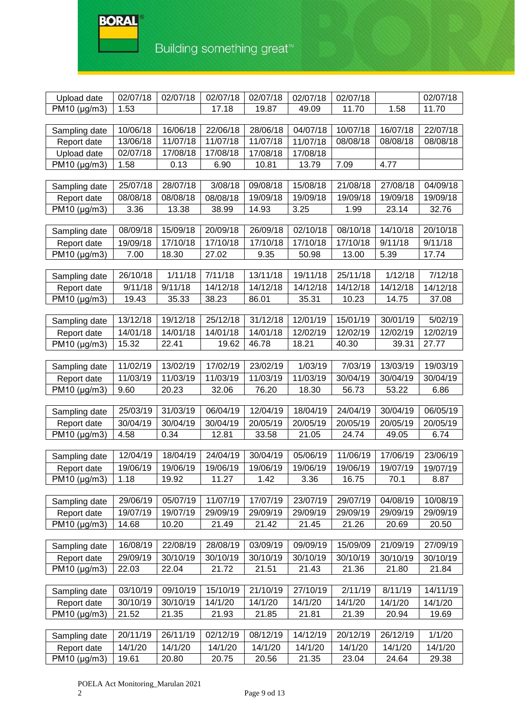

Building something great<sup>™</sup>

| Upload date          | 02/07/18 | 02/07/18 | 02/07/18 | 02/07/18 | 02/07/18 | 02/07/18 |          | 02/07/18 |
|----------------------|----------|----------|----------|----------|----------|----------|----------|----------|
| PM10 (µg/m3)         | 1.53     |          | 17.18    | 19.87    | 49.09    | 11.70    | 1.58     | 11.70    |
|                      |          |          |          |          |          |          |          |          |
| Sampling date        | 10/06/18 | 16/06/18 | 22/06/18 | 28/06/18 | 04/07/18 | 10/07/18 | 16/07/18 | 22/07/18 |
| Report date          | 13/06/18 | 11/07/18 | 11/07/18 | 11/07/18 | 11/07/18 | 08/08/18 | 08/08/18 | 08/08/18 |
| Upload date          | 02/07/18 | 17/08/18 | 17/08/18 | 17/08/18 | 17/08/18 |          |          |          |
| PM10 (µg/m3)         | 1.58     | 0.13     | 6.90     | 10.81    | 13.79    | 7.09     | 4.77     |          |
|                      |          |          |          |          |          |          |          |          |
| Sampling date        | 25/07/18 | 28/07/18 | 3/08/18  | 09/08/18 | 15/08/18 | 21/08/18 | 27/08/18 | 04/09/18 |
| Report date          | 08/08/18 | 08/08/18 | 08/08/18 | 19/09/18 | 19/09/18 | 19/09/18 | 19/09/18 | 19/09/18 |
| PM10 (µg/m3)         | 3.36     | 13.38    | 38.99    | 14.93    | 3.25     | 1.99     | 23.14    | 32.76    |
| Sampling date        | 08/09/18 | 15/09/18 | 20/09/18 | 26/09/18 | 02/10/18 | 08/10/18 | 14/10/18 | 20/10/18 |
| Report date          | 19/09/18 | 17/10/18 | 17/10/18 | 17/10/18 | 17/10/18 | 17/10/18 | 9/11/18  | 9/11/18  |
| PM10 (µg/m3)         | 7.00     | 18.30    | 27.02    | 9.35     | 50.98    | 13.00    | 5.39     | 17.74    |
|                      |          |          |          |          |          |          |          |          |
| Sampling date        | 26/10/18 | 1/11/18  | 7/11/18  | 13/11/18 | 19/11/18 | 25/11/18 | 1/12/18  | 7/12/18  |
| Report date          | 9/11/18  | 9/11/18  | 14/12/18 | 14/12/18 | 14/12/18 | 14/12/18 | 14/12/18 | 14/12/18 |
| PM10 (µg/m3)         | 19.43    | 35.33    | 38.23    | 86.01    | 35.31    | 10.23    | 14.75    | 37.08    |
|                      |          |          |          |          |          |          |          |          |
| Sampling date        | 13/12/18 | 19/12/18 | 25/12/18 | 31/12/18 | 12/01/19 | 15/01/19 | 30/01/19 | 5/02/19  |
| Report date          | 14/01/18 | 14/01/18 | 14/01/18 | 14/01/18 | 12/02/19 | 12/02/19 | 12/02/19 | 12/02/19 |
| $PM10$ ( $\mu$ g/m3) | 15.32    | 22.41    | 19.62    | 46.78    | 18.21    | 40.30    | 39.31    | 27.77    |
|                      |          |          |          |          |          |          |          |          |
| Sampling date        | 11/02/19 | 13/02/19 | 17/02/19 | 23/02/19 | 1/03/19  | 7/03/19  | 13/03/19 | 19/03/19 |
| Report date          | 11/03/19 | 11/03/19 | 11/03/19 | 11/03/19 | 11/03/19 | 30/04/19 | 30/04/19 | 30/04/19 |
| PM10 (µg/m3)         | 9.60     | 20.23    | 32.06    | 76.20    | 18.30    | 56.73    | 53.22    | 6.86     |
|                      |          |          |          |          |          |          |          |          |
| Sampling date        | 25/03/19 | 31/03/19 | 06/04/19 | 12/04/19 | 18/04/19 | 24/04/19 | 30/04/19 | 06/05/19 |
| Report date          | 30/04/19 | 30/04/19 | 30/04/19 | 20/05/19 | 20/05/19 | 20/05/19 | 20/05/19 | 20/05/19 |
| PM10 (µg/m3)         | 4.58     | 0.34     | 12.81    | 33.58    | 21.05    | 24.74    | 49.05    | 6.74     |
| Sampling date        | 12/04/19 | 18/04/19 | 24/04/19 | 30/04/19 | 05/06/19 | 11/06/19 | 17/06/19 | 23/06/19 |
| Report date          | 19/06/19 | 19/06/19 | 19/06/19 | 19/06/19 | 19/06/19 | 19/06/19 | 19/07/19 | 19/07/19 |
| PM10 (µg/m3)         | 1.18     | 19.92    | 11.27    | 1.42     | 3.36     | 16.75    | 70.1     | 8.87     |
|                      |          |          |          |          |          |          |          |          |
| Sampling date        | 29/06/19 | 05/07/19 | 11/07/19 | 17/07/19 | 23/07/19 | 29/07/19 | 04/08/19 | 10/08/19 |
| Report date          | 19/07/19 | 19/07/19 | 29/09/19 | 29/09/19 | 29/09/19 | 29/09/19 | 29/09/19 | 29/09/19 |
| PM10 (µg/m3)         | 14.68    | 10.20    | 21.49    | 21.42    | 21.45    | 21.26    | 20.69    | 20.50    |
|                      |          |          |          |          |          |          |          |          |
| Sampling date        | 16/08/19 | 22/08/19 | 28/08/19 | 03/09/19 | 09/09/19 | 15/09/09 | 21/09/19 | 27/09/19 |
| Report date          | 29/09/19 | 30/10/19 | 30/10/19 | 30/10/19 | 30/10/19 | 30/10/19 | 30/10/19 | 30/10/19 |
| PM10 (µg/m3)         | 22.03    | 22.04    | 21.72    | 21.51    | 21.43    | 21.36    | 21.80    | 21.84    |
|                      |          |          |          |          |          |          |          |          |
| Sampling date        | 03/10/19 | 09/10/19 | 15/10/19 | 21/10/19 | 27/10/19 | 2/11/19  | 8/11/19  | 14/11/19 |
| Report date          | 30/10/19 | 30/10/19 | 14/1/20  | 14/1/20  | 14/1/20  | 14/1/20  | 14/1/20  | 14/1/20  |
| $PM10$ ( $\mu$ g/m3) | 21.52    | 21.35    | 21.93    | 21.85    | 21.81    | 21.39    | 20.94    | 19.69    |
|                      |          |          |          |          |          |          |          |          |
| Sampling date        | 20/11/19 | 26/11/19 | 02/12/19 | 08/12/19 | 14/12/19 | 20/12/19 | 26/12/19 | 1/1/20   |
| Report date          | 14/1/20  | 14/1/20  | 14/1/20  | 14/1/20  | 14/1/20  | 14/1/20  | 14/1/20  | 14/1/20  |
| PM10 (µg/m3)         | 19.61    | 20.80    | 20.75    | 20.56    | 21.35    | 23.04    | 24.64    | 29.38    |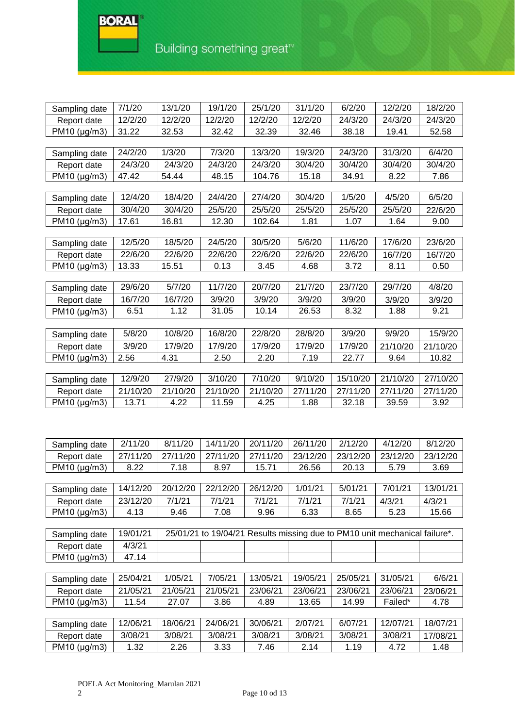**BORAL** 

| Sampling date | 7/1/20   | 13/1/20  | 19/1/20           | 25/1/20  | 31/1/20  | 6/2/20   | 12/2/20                                                                    | 18/2/20  |
|---------------|----------|----------|-------------------|----------|----------|----------|----------------------------------------------------------------------------|----------|
| Report date   | 12/2/20  | 12/2/20  | 12/2/20           | 12/2/20  | 12/2/20  | 24/3/20  | 24/3/20                                                                    | 24/3/20  |
| PM10 (µg/m3)  | 31.22    | 32.53    | 32.42             | 32.39    | 32.46    | 38.18    | 19.41                                                                      | 52.58    |
|               |          |          |                   |          |          |          |                                                                            |          |
| Sampling date | 24/2/20  | 1/3/20   | 7/3/20            | 13/3/20  | 19/3/20  | 24/3/20  | 31/3/20                                                                    | 6/4/20   |
| Report date   | 24/3/20  | 24/3/20  | 24/3/20           | 24/3/20  | 30/4/20  | 30/4/20  | 30/4/20                                                                    | 30/4/20  |
| PM10 (µg/m3)  | 47.42    | 54.44    | 48.15             | 104.76   | 15.18    | 34.91    | 8.22                                                                       | 7.86     |
|               |          |          |                   |          |          |          |                                                                            |          |
| Sampling date | 12/4/20  | 18/4/20  | 24/4/20           | 27/4/20  | 30/4/20  | 1/5/20   | 4/5/20                                                                     | 6/5/20   |
| Report date   | 30/4/20  | 30/4/20  | 25/5/20           | 25/5/20  | 25/5/20  | 25/5/20  | 25/5/20                                                                    | 22/6/20  |
| PM10 (µg/m3)  | 17.61    | 16.81    | 12.30             | 102.64   | 1.81     | 1.07     | 1.64                                                                       | 9.00     |
|               |          |          |                   |          |          |          |                                                                            |          |
| Sampling date | 12/5/20  | 18/5/20  | 24/5/20           | 30/5/20  | 5/6/20   | 11/6/20  | 17/6/20                                                                    | 23/6/20  |
| Report date   | 22/6/20  | 22/6/20  | 22/6/20           | 22/6/20  | 22/6/20  | 22/6/20  | 16/7/20                                                                    | 16/7/20  |
| PM10 (µg/m3)  | 13.33    | 15.51    | 0.13              | 3.45     | 4.68     | 3.72     | 8.11                                                                       | 0.50     |
|               |          |          |                   |          |          |          |                                                                            |          |
| Sampling date | 29/6/20  | 5/7/20   | 11/7/20           | 20/7/20  | 21/7/20  | 23/7/20  | 29/7/20                                                                    | 4/8/20   |
| Report date   | 16/7/20  | 16/7/20  | 3/9/20            | 3/9/20   | 3/9/20   | 3/9/20   | 3/9/20                                                                     | 3/9/20   |
| PM10 (µg/m3)  | 6.51     | 1.12     | 31.05             | 10.14    | 26.53    | 8.32     | 1.88                                                                       | 9.21     |
|               |          |          |                   |          |          |          |                                                                            |          |
| Sampling date | 5/8/20   | 10/8/20  | 16/8/20           | 22/8/20  | 28/8/20  | 3/9/20   | 9/9/20                                                                     | 15/9/20  |
| Report date   | 3/9/20   | 17/9/20  | 17/9/20           | 17/9/20  | 17/9/20  | 17/9/20  | 21/10/20                                                                   | 21/10/20 |
| PM10 (µg/m3)  | 2.56     | 4.31     | 2.50              | 2.20     | 7.19     | 22.77    | 9.64                                                                       | 10.82    |
|               |          |          |                   |          |          |          |                                                                            |          |
| Sampling date | 12/9/20  | 27/9/20  | 3/10/20           | 7/10/20  | 9/10/20  | 15/10/20 | 21/10/20                                                                   | 27/10/20 |
| Report date   | 21/10/20 | 21/10/20 | 21/10/20          | 21/10/20 | 27/11/20 | 27/11/20 | 27/11/20                                                                   | 27/11/20 |
| PM10 (µg/m3)  | 13.71    | 4.22     | 11.59             | 4.25     | 1.88     | 32.18    | 39.59                                                                      | 3.92     |
|               |          |          |                   |          |          |          |                                                                            |          |
|               |          |          |                   |          |          |          |                                                                            |          |
| Sampling date | 2/11/20  | 8/11/20  | 14/11/20          | 20/11/20 | 26/11/20 | 2/12/20  | 4/12/20                                                                    | 8/12/20  |
| Report date   | 27/11/20 | 27/11/20 | 27/11/20          | 27/11/20 | 23/12/20 | 23/12/20 | 23/12/20                                                                   | 23/12/20 |
| PM10 (µg/m3)  | 8.22     | 7.18     | 8.97              | 15.71    | 26.56    | 20.13    | 5.79                                                                       | 3.69     |
|               |          |          |                   |          |          |          |                                                                            |          |
| Sampling date | 14/12/20 | 20/12/20 | 22/12/20 26/12/20 |          | 1/01/21  | 5/01/21  | 7/01/21                                                                    | 13/01/21 |
| Report date   | 23/12/20 | 7/1/21   | 7/1/21            | 7/1/21   | 7/1/21   | 7/1/21   | 4/3/21                                                                     | 4/3/21   |
| PM10 (µg/m3)  | 4.13     | 9.46     | 7.08              | 9.96     | 6.33     | 8.65     | 5.23                                                                       | 15.66    |
|               |          |          |                   |          |          |          |                                                                            |          |
| Sampling date | 19/01/21 |          |                   |          |          |          | 25/01/21 to 19/04/21 Results missing due to PM10 unit mechanical failure*. |          |
| Report date   | 4/3/21   |          |                   |          |          |          |                                                                            |          |
| PM10 (µg/m3)  | 47.14    |          |                   |          |          |          |                                                                            |          |
|               |          |          |                   |          |          |          |                                                                            |          |
| Sampling date | 25/04/21 | 1/05/21  | 7/05/21           | 13/05/21 | 19/05/21 | 25/05/21 | 31/05/21                                                                   | 6/6/21   |
| Report date   | 21/05/21 | 21/05/21 | 21/05/21          | 23/06/21 | 23/06/21 | 23/06/21 | 23/06/21                                                                   | 23/06/21 |
| PM10 (µg/m3)  | 11.54    | 27.07    | 3.86              | 4.89     | 13.65    | 14.99    | Failed*                                                                    | 4.78     |
|               |          |          |                   |          |          |          |                                                                            |          |
| Sampling date | 12/06/21 | 18/06/21 | 24/06/21          | 30/06/21 | 2/07/21  | 6/07/21  | 12/07/21                                                                   | 18/07/21 |
| Report date   | 3/08/21  | 3/08/21  | 3/08/21           | 3/08/21  | 3/08/21  | 3/08/21  | 3/08/21                                                                    | 17/08/21 |
| PM10 (µg/m3)  | 1.32     | 2.26     | 3.33              | 7.46     | 2.14     | 1.19     | 4.72                                                                       | 1.48     |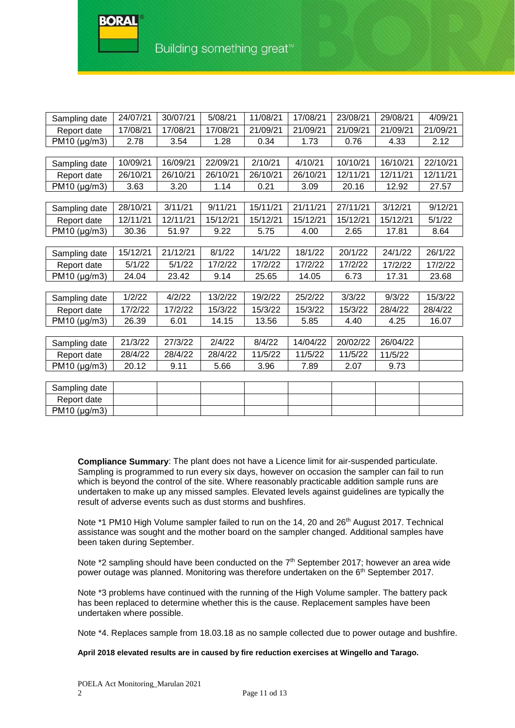RAD A

| Sampling date | 24/07/21 | 30/07/21 | 5/08/21  | 11/08/21 | 17/08/21 | 23/08/21 | 29/08/21 | 4/09/21  |
|---------------|----------|----------|----------|----------|----------|----------|----------|----------|
| Report date   | 17/08/21 | 17/08/21 | 17/08/21 | 21/09/21 | 21/09/21 | 21/09/21 | 21/09/21 | 21/09/21 |
| PM10 (µg/m3)  | 2.78     | 3.54     | 1.28     | 0.34     | 1.73     | 0.76     | 4.33     | 2.12     |
|               |          |          |          |          |          |          |          |          |
| Sampling date | 10/09/21 | 16/09/21 | 22/09/21 | 2/10/21  | 4/10/21  | 10/10/21 | 16/10/21 | 22/10/21 |
| Report date   | 26/10/21 | 26/10/21 | 26/10/21 | 26/10/21 | 26/10/21 | 12/11/21 | 12/11/21 | 12/11/21 |
| PM10 (µg/m3)  | 3.63     | 3.20     | 1.14     | 0.21     | 3.09     | 20.16    | 12.92    | 27.57    |
|               |          |          |          |          |          |          |          |          |
| Sampling date | 28/10/21 | 3/11/21  | 9/11/21  | 15/11/21 | 21/11/21 | 27/11/21 | 3/12/21  | 9/12/21  |
| Report date   | 12/11/21 | 12/11/21 | 15/12/21 | 15/12/21 | 15/12/21 | 15/12/21 | 15/12/21 | 5/1/22   |
| PM10 (µg/m3)  | 30.36    | 51.97    | 9.22     | 5.75     | 4.00     | 2.65     | 17.81    | 8.64     |
|               |          |          |          |          |          |          |          |          |
| Sampling date | 15/12/21 | 21/12/21 | 8/1/22   | 14/1/22  | 18/1/22  | 20/1/22  | 24/1/22  | 26/1/22  |
| Report date   | 5/1/22   | 5/1/22   | 17/2/22  | 17/2/22  | 17/2/22  | 17/2/22  | 17/2/22  | 17/2/22  |
| PM10 (µg/m3)  | 24.04    | 23.42    | 9.14     | 25.65    | 14.05    | 6.73     | 17.31    | 23.68    |
|               |          |          |          |          |          |          |          |          |
| Sampling date | 1/2/22   | 4/2/22   | 13/2/22  | 19/2/22  | 25/2/22  | 3/3/22   | 9/3/22   | 15/3/22  |
| Report date   | 17/2/22  | 17/2/22  | 15/3/22  | 15/3/22  | 15/3/22  | 15/3/22  | 28/4/22  | 28/4/22  |
| PM10 (µg/m3)  | 26.39    | 6.01     | 14.15    | 13.56    | 5.85     | 4.40     | 4.25     | 16.07    |
|               |          |          |          |          |          |          |          |          |
| Sampling date | 21/3/22  | 27/3/22  | 2/4/22   | 8/4/22   | 14/04/22 | 20/02/22 | 26/04/22 |          |
| Report date   | 28/4/22  | 28/4/22  | 28/4/22  | 11/5/22  | 11/5/22  | 11/5/22  | 11/5/22  |          |
| PM10 (µg/m3)  | 20.12    | 9.11     | 5.66     | 3.96     | 7.89     | 2.07     | 9.73     |          |
|               |          |          |          |          |          |          |          |          |
| Sampling date |          |          |          |          |          |          |          |          |
| Report date   |          |          |          |          |          |          |          |          |
| PM10 (µg/m3)  |          |          |          |          |          |          |          |          |

**Compliance Summary**: The plant does not have a Licence limit for air-suspended particulate. Sampling is programmed to run every six days, however on occasion the sampler can fail to run which is beyond the control of the site. Where reasonably practicable addition sample runs are undertaken to make up any missed samples. Elevated levels against guidelines are typically the result of adverse events such as dust storms and bushfires.

Note \*1 PM10 High Volume sampler failed to run on the 14, 20 and 26<sup>th</sup> August 2017. Technical assistance was sought and the mother board on the sampler changed. Additional samples have been taken during September.

Note  $*2$  sampling should have been conducted on the  $7<sup>th</sup>$  September 2017; however an area wide power outage was planned. Monitoring was therefore undertaken on the  $6<sup>th</sup>$  September 2017.

Note \*3 problems have continued with the running of the High Volume sampler. The battery pack has been replaced to determine whether this is the cause. Replacement samples have been undertaken where possible.

Note \*4. Replaces sample from 18.03.18 as no sample collected due to power outage and bushfire.

**April 2018 elevated results are in caused by fire reduction exercises at Wingello and Tarago.**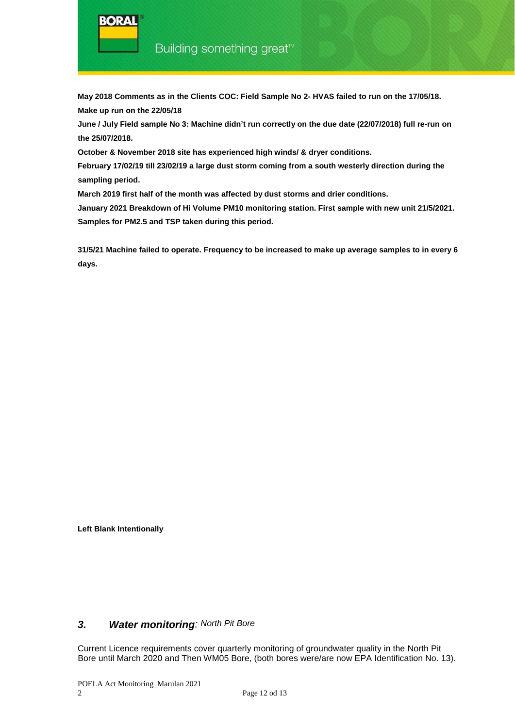**May 2018 Comments as in the Clients COC: Field Sample No 2- HVAS failed to run on the 17/05/18. Make up run on the 22/05/18**

**June / July Field sample No 3: Machine didn't run correctly on the due date (22/07/2018) full re-run on the 25/07/2018.** 

**October & November 2018 site has experienced high winds/ & dryer conditions.**

**February 17/02/19 till 23/02/19 a large dust storm coming from a south westerly direction during the sampling period.** 

**March 2019 first half of the month was affected by dust storms and drier conditions.** 

**January 2021 Breakdown of Hi Volume PM10 monitoring station. First sample with new unit 21/5/2021. Samples for PM2.5 and TSP taken during this period.**

**31/5/21 Machine failed to operate. Frequency to be increased to make up average samples to in every 6 days.**

**Left Blank Intentionally**

### *3. Water monitoring: North Pit Bore*

Current Licence requirements cover quarterly monitoring of groundwater quality in the North Pit Bore until March 2020 and Then WM05 Bore, (both bores were/are now EPA Identification No. 13).